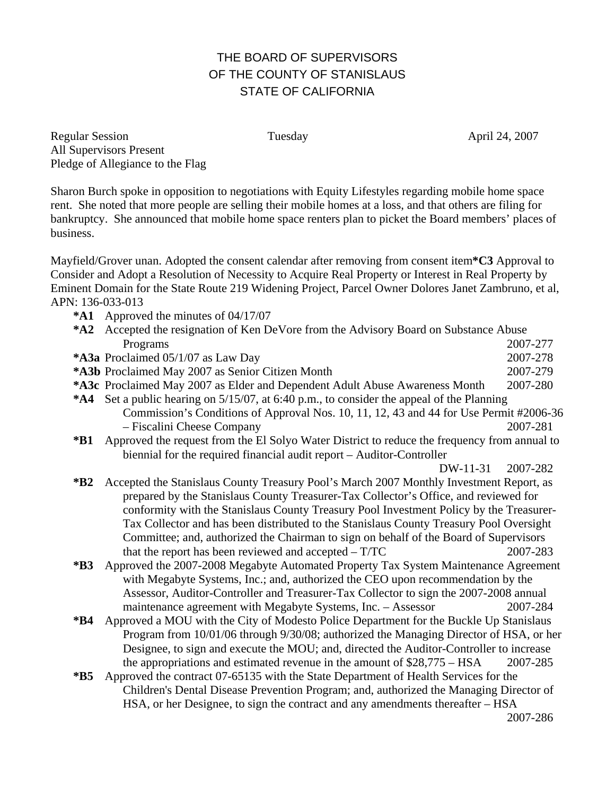## THE BOARD OF SUPERVISORS OF THE COUNTY OF STANISLAUS STATE OF CALIFORNIA

Regular Session Tuesday Tuesday April 24, 2007 All Supervisors Present Pledge of Allegiance to the Flag

Sharon Burch spoke in opposition to negotiations with Equity Lifestyles regarding mobile home space rent. She noted that more people are selling their mobile homes at a loss, and that others are filing for bankruptcy. She announced that mobile home space renters plan to picket the Board members' places of business.

Mayfield/Grover unan. Adopted the consent calendar after removing from consent item**\*C3** Approval to Consider and Adopt a Resolution of Necessity to Acquire Real Property or Interest in Real Property by Eminent Domain for the State Route 219 Widening Project, Parcel Owner Dolores Janet Zambruno, et al, APN: 136-033-013

**\*A1** Approved the minutes of 04/17/07

|                                                                       | *A2 Accepted the resignation of Ken DeVore from the Advisory Board on Substance Abuse        |          |
|-----------------------------------------------------------------------|----------------------------------------------------------------------------------------------|----------|
|                                                                       | Programs                                                                                     | 2007-277 |
|                                                                       | *A3a Proclaimed 05/1/07 as Law Day                                                           | 2007-278 |
|                                                                       | *A3b Proclaimed May 2007 as Senior Citizen Month                                             | 2007-279 |
|                                                                       | *A3c Proclaimed May 2007 as Elder and Dependent Adult Abuse Awareness Month                  | 2007-280 |
|                                                                       | *A4 Set a public hearing on 5/15/07, at 6:40 p.m., to consider the appeal of the Planning    |          |
|                                                                       | Commission's Conditions of Approval Nos. 10, 11, 12, 43 and 44 for Use Permit #2006-36       |          |
|                                                                       | - Fiscalini Cheese Company                                                                   | 2007-281 |
| $*B1$                                                                 | Approved the request from the El Solyo Water District to reduce the frequency from annual to |          |
| biennial for the required financial audit report – Auditor-Controller |                                                                                              |          |
|                                                                       | DW-11-31                                                                                     | 2007-282 |
| $*B2$                                                                 | Accepted the Stanislaus County Treasury Pool's March 2007 Monthly Investment Report, as      |          |
|                                                                       | prepared by the Stanislaus County Treasurer-Tax Collector's Office, and reviewed for         |          |
|                                                                       | conformity with the Stanislaus County Treasury Pool Investment Policy by the Treasurer-      |          |
|                                                                       | Tax Collector and has been distributed to the Stanislaus County Treasury Pool Oversight      |          |
|                                                                       | Committee; and, authorized the Chairman to sign on behalf of the Board of Supervisors        |          |
|                                                                       | that the report has been reviewed and accepted $- T/TC$                                      | 2007-283 |
| $*B3$                                                                 | Approved the 2007-2008 Megabyte Automated Property Tax System Maintenance Agreement          |          |
|                                                                       | with Megabyte Systems, Inc.; and, authorized the CEO upon recommendation by the              |          |
|                                                                       | Assessor, Auditor-Controller and Treasurer-Tax Collector to sign the 2007-2008 annual        |          |
|                                                                       | maintenance agreement with Megabyte Systems, Inc. - Assessor                                 | 2007-284 |
| $*B4$                                                                 | Approved a MOU with the City of Modesto Police Department for the Buckle Up Stanislaus       |          |
|                                                                       | Program from 10/01/06 through 9/30/08; authorized the Managing Director of HSA, or her       |          |
|                                                                       | Designee, to sign and execute the MOU; and, directed the Auditor-Controller to increase      |          |
|                                                                       | the appropriations and estimated revenue in the amount of $$28,775 - HSA$                    | 2007-285 |
| $*B5$                                                                 | Approved the contract 07-65135 with the State Department of Health Services for the          |          |
|                                                                       | Children's Dental Disease Prevention Program; and, authorized the Managing Director of       |          |
|                                                                       | HSA, or her Designee, to sign the contract and any amendments thereafter – HSA               |          |
|                                                                       |                                                                                              | 2007-286 |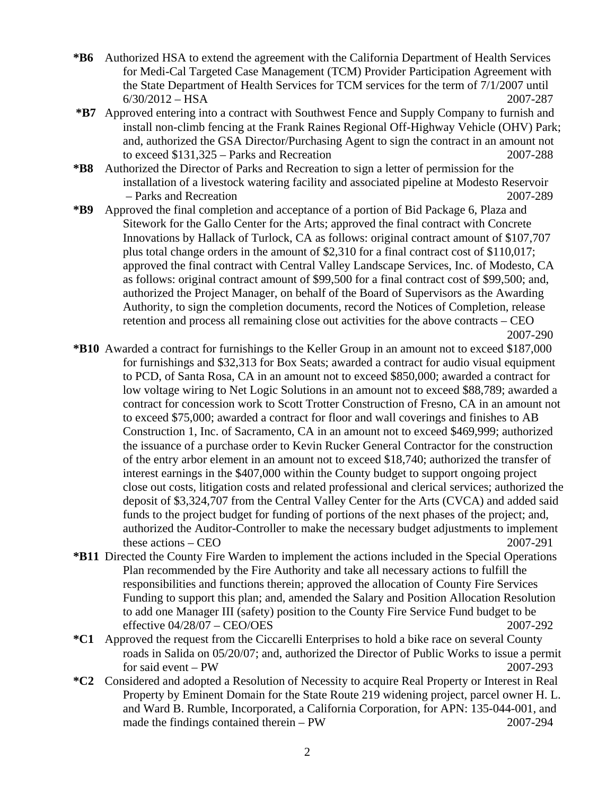- **\*B6** Authorized HSA to extend the agreement with the California Department of Health Services for Medi-Cal Targeted Case Management (TCM) Provider Participation Agreement with the State Department of Health Services for TCM services for the term of 7/1/2007 until 6/30/2012 – HSA 2007-287
- **\*B7** Approved entering into a contract with Southwest Fence and Supply Company to furnish and install non-climb fencing at the Frank Raines Regional Off-Highway Vehicle (OHV) Park; and, authorized the GSA Director/Purchasing Agent to sign the contract in an amount not to exceed \$131,325 – Parks and Recreation 2007-288
- **\*B8** Authorized the Director of Parks and Recreation to sign a letter of permission for the installation of a livestock watering facility and associated pipeline at Modesto Reservoir – Parks and Recreation 2007-289
- **\*B9** Approved the final completion and acceptance of a portion of Bid Package 6, Plaza and Sitework for the Gallo Center for the Arts; approved the final contract with Concrete Innovations by Hallack of Turlock, CA as follows: original contract amount of \$107,707 plus total change orders in the amount of \$2,310 for a final contract cost of \$110,017; approved the final contract with Central Valley Landscape Services, Inc. of Modesto, CA as follows: original contract amount of \$99,500 for a final contract cost of \$99,500; and, authorized the Project Manager, on behalf of the Board of Supervisors as the Awarding Authority, to sign the completion documents, record the Notices of Completion, release retention and process all remaining close out activities for the above contracts – CEO 2007-290
- **\*B10** Awarded a contract for furnishings to the Keller Group in an amount not to exceed \$187,000 for furnishings and \$32,313 for Box Seats; awarded a contract for audio visual equipment to PCD, of Santa Rosa, CA in an amount not to exceed \$850,000; awarded a contract for low voltage wiring to Net Logic Solutions in an amount not to exceed \$88,789; awarded a contract for concession work to Scott Trotter Construction of Fresno, CA in an amount not to exceed \$75,000; awarded a contract for floor and wall coverings and finishes to AB Construction 1, Inc. of Sacramento, CA in an amount not to exceed \$469,999; authorized the issuance of a purchase order to Kevin Rucker General Contractor for the construction of the entry arbor element in an amount not to exceed \$18,740; authorized the transfer of interest earnings in the \$407,000 within the County budget to support ongoing project close out costs, litigation costs and related professional and clerical services; authorized the deposit of \$3,324,707 from the Central Valley Center for the Arts (CVCA) and added said funds to the project budget for funding of portions of the next phases of the project; and, authorized the Auditor-Controller to make the necessary budget adjustments to implement these actions – CEO 2007-291
- **\*B11** Directed the County Fire Warden to implement the actions included in the Special Operations Plan recommended by the Fire Authority and take all necessary actions to fulfill the responsibilities and functions therein; approved the allocation of County Fire Services Funding to support this plan; and, amended the Salary and Position Allocation Resolution to add one Manager III (safety) position to the County Fire Service Fund budget to be effective 04/28/07 – CEO/OES 2007-292
- **\*C1** Approved the request from the Ciccarelli Enterprises to hold a bike race on several County roads in Salida on 05/20/07; and, authorized the Director of Public Works to issue a permit for said event – PW 2007-293
- **\*C2** Considered and adopted a Resolution of Necessity to acquire Real Property or Interest in Real Property by Eminent Domain for the State Route 219 widening project, parcel owner H. L. and Ward B. Rumble, Incorporated, a California Corporation, for APN: 135-044-001, and made the findings contained therein – PW 2007-294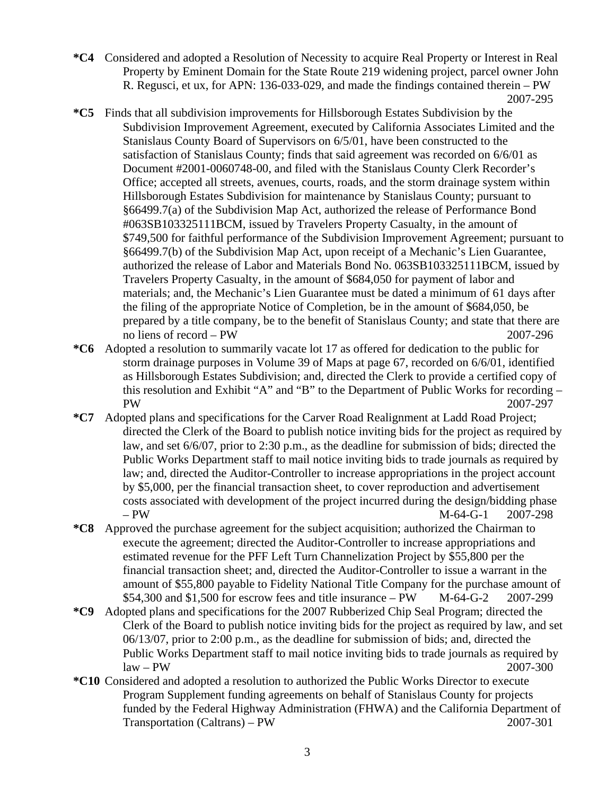- **\*C4** Considered and adopted a Resolution of Necessity to acquire Real Property or Interest in Real Property by Eminent Domain for the State Route 219 widening project, parcel owner John R. Regusci, et ux, for APN: 136-033-029, and made the findings contained therein – PW 2007-295
- **\*C5** Finds that all subdivision improvements for Hillsborough Estates Subdivision by the Subdivision Improvement Agreement, executed by California Associates Limited and the Stanislaus County Board of Supervisors on 6/5/01, have been constructed to the satisfaction of Stanislaus County; finds that said agreement was recorded on 6/6/01 as Document #2001-0060748-00, and filed with the Stanislaus County Clerk Recorder's Office; accepted all streets, avenues, courts, roads, and the storm drainage system within Hillsborough Estates Subdivision for maintenance by Stanislaus County; pursuant to §66499.7(a) of the Subdivision Map Act, authorized the release of Performance Bond #063SB103325111BCM, issued by Travelers Property Casualty, in the amount of \$749,500 for faithful performance of the Subdivision Improvement Agreement; pursuant to §66499.7(b) of the Subdivision Map Act, upon receipt of a Mechanic's Lien Guarantee, authorized the release of Labor and Materials Bond No. 063SB103325111BCM, issued by Travelers Property Casualty, in the amount of \$684,050 for payment of labor and materials; and, the Mechanic's Lien Guarantee must be dated a minimum of 61 days after the filing of the appropriate Notice of Completion, be in the amount of \$684,050, be prepared by a title company, be to the benefit of Stanislaus County; and state that there are no liens of record – PW 2007-296
- **\*C6** Adopted a resolution to summarily vacate lot 17 as offered for dedication to the public for storm drainage purposes in Volume 39 of Maps at page 67, recorded on 6/6/01, identified as Hillsborough Estates Subdivision; and, directed the Clerk to provide a certified copy of this resolution and Exhibit "A" and "B" to the Department of Public Works for recording – PW 2007-297
- **\*C7** Adopted plans and specifications for the Carver Road Realignment at Ladd Road Project; directed the Clerk of the Board to publish notice inviting bids for the project as required by law, and set 6/6/07, prior to 2:30 p.m., as the deadline for submission of bids; directed the Public Works Department staff to mail notice inviting bids to trade journals as required by law; and, directed the Auditor-Controller to increase appropriations in the project account by \$5,000, per the financial transaction sheet, to cover reproduction and advertisement costs associated with development of the project incurred during the design/bidding phase – PW M-64-G-1 2007-298
- **\*C8** Approved the purchase agreement for the subject acquisition; authorized the Chairman to execute the agreement; directed the Auditor-Controller to increase appropriations and estimated revenue for the PFF Left Turn Channelization Project by \$55,800 per the financial transaction sheet; and, directed the Auditor-Controller to issue a warrant in the amount of \$55,800 payable to Fidelity National Title Company for the purchase amount of \$54,300 and \$1,500 for escrow fees and title insurance – PW M-64-G-2 2007-299
- **\*C9** Adopted plans and specifications for the 2007 Rubberized Chip Seal Program; directed the Clerk of the Board to publish notice inviting bids for the project as required by law, and set 06/13/07, prior to 2:00 p.m., as the deadline for submission of bids; and, directed the Public Works Department staff to mail notice inviting bids to trade journals as required by  $law - PW$  2007-300
- **\*C10** Considered and adopted a resolution to authorized the Public Works Director to execute Program Supplement funding agreements on behalf of Stanislaus County for projects funded by the Federal Highway Administration (FHWA) and the California Department of Transportation (Caltrans) – PW 2007-301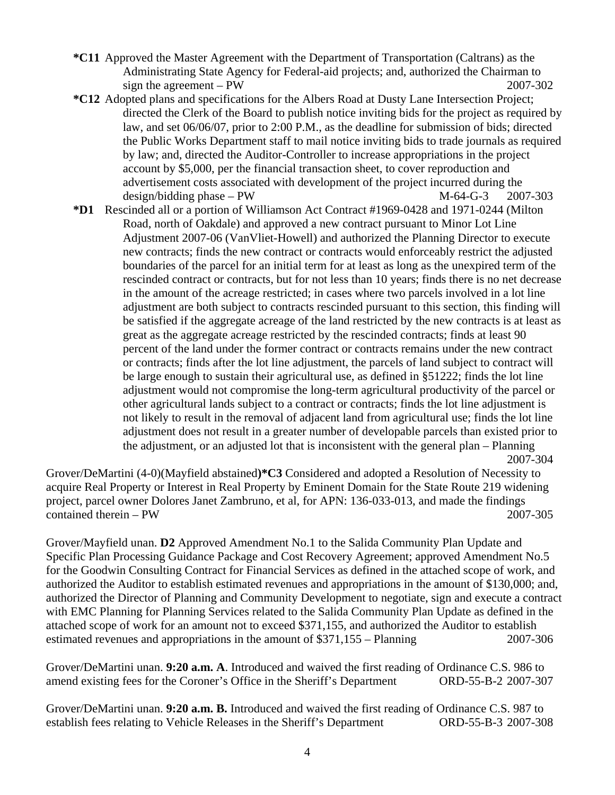- **\*C11** Approved the Master Agreement with the Department of Transportation (Caltrans) as the Administrating State Agency for Federal-aid projects; and, authorized the Chairman to sign the agreement – PW  $2007-302$
- **\*C12** Adopted plans and specifications for the Albers Road at Dusty Lane Intersection Project; directed the Clerk of the Board to publish notice inviting bids for the project as required by law, and set 06/06/07, prior to 2:00 P.M., as the deadline for submission of bids; directed the Public Works Department staff to mail notice inviting bids to trade journals as required by law; and, directed the Auditor-Controller to increase appropriations in the project account by \$5,000, per the financial transaction sheet, to cover reproduction and advertisement costs associated with development of the project incurred during the design/bidding phase – PW  $M-64-G-3$  2007-303
- **\*D1** Rescinded all or a portion of Williamson Act Contract #1969-0428 and 1971-0244 (Milton Road, north of Oakdale) and approved a new contract pursuant to Minor Lot Line Adjustment 2007-06 (VanVliet-Howell) and authorized the Planning Director to execute new contracts; finds the new contract or contracts would enforceably restrict the adjusted boundaries of the parcel for an initial term for at least as long as the unexpired term of the rescinded contract or contracts, but for not less than 10 years; finds there is no net decrease in the amount of the acreage restricted; in cases where two parcels involved in a lot line adjustment are both subject to contracts rescinded pursuant to this section, this finding will be satisfied if the aggregate acreage of the land restricted by the new contracts is at least as great as the aggregate acreage restricted by the rescinded contracts; finds at least 90 percent of the land under the former contract or contracts remains under the new contract or contracts; finds after the lot line adjustment, the parcels of land subject to contract will be large enough to sustain their agricultural use, as defined in §51222; finds the lot line adjustment would not compromise the long-term agricultural productivity of the parcel or other agricultural lands subject to a contract or contracts; finds the lot line adjustment is not likely to result in the removal of adjacent land from agricultural use; finds the lot line adjustment does not result in a greater number of developable parcels than existed prior to the adjustment, or an adjusted lot that is inconsistent with the general plan – Planning 2007-304

Grover/DeMartini (4-0)(Mayfield abstained**)\*C3** Considered and adopted a Resolution of Necessity to acquire Real Property or Interest in Real Property by Eminent Domain for the State Route 219 widening project, parcel owner Dolores Janet Zambruno, et al, for APN: 136-033-013, and made the findings contained therein – PW 2007-305

Grover/Mayfield unan. **D2** Approved Amendment No.1 to the Salida Community Plan Update and Specific Plan Processing Guidance Package and Cost Recovery Agreement; approved Amendment No.5 for the Goodwin Consulting Contract for Financial Services as defined in the attached scope of work, and authorized the Auditor to establish estimated revenues and appropriations in the amount of \$130,000; and, authorized the Director of Planning and Community Development to negotiate, sign and execute a contract with EMC Planning for Planning Services related to the Salida Community Plan Update as defined in the attached scope of work for an amount not to exceed \$371,155, and authorized the Auditor to establish estimated revenues and appropriations in the amount of \$371,155 – Planning 2007-306

Grover/DeMartini unan. **9:20 a.m. A**. Introduced and waived the first reading of Ordinance C.S. 986 to amend existing fees for the Coroner's Office in the Sheriff's Department ORD-55-B-2 2007-307

Grover/DeMartini unan. **9:20 a.m. B.** Introduced and waived the first reading of Ordinance C.S. 987 to establish fees relating to Vehicle Releases in the Sheriff's Department ORD-55-B-3 2007-308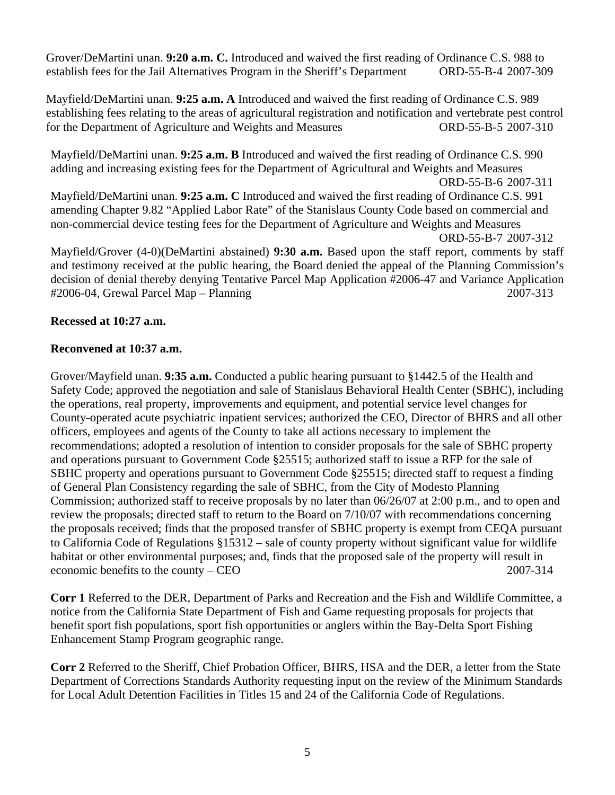Grover/DeMartini unan. **9:20 a.m. C.** Introduced and waived the first reading of Ordinance C.S. 988 to establish fees for the Jail Alternatives Program in the Sheriff's Department ORD-55-B-4 2007-309

Mayfield/DeMartini unan. **9:25 a.m. A** Introduced and waived the first reading of Ordinance C.S. 989 establishing fees relating to the areas of agricultural registration and notification and vertebrate pest control for the Department of Agriculture and Weights and Measures ORD-55-B-5 2007-310

Mayfield/DeMartini unan. **9:25 a.m. B** Introduced and waived the first reading of Ordinance C.S. 990 adding and increasing existing fees for the Department of Agricultural and Weights and Measures ORD-55-B-6 2007-311 Mayfield/DeMartini unan. **9:25 a.m. C** Introduced and waived the first reading of Ordinance C.S. 991 amending Chapter 9.82 "Applied Labor Rate" of the Stanislaus County Code based on commercial and non-commercial device testing fees for the Department of Agriculture and Weights and Measures ORD-55-B-7 2007-312 Mayfield/Grover (4-0)(DeMartini abstained) **9:30 a.m.** Based upon the staff report, comments by staff and testimony received at the public hearing, the Board denied the appeal of the Planning Commission's decision of denial thereby denying Tentative Parcel Map Application #2006-47 and Variance Application #2006-04, Grewal Parcel Map – Planning 2007-313

## **Recessed at 10:27 a.m.**

## **Reconvened at 10:37 a.m.**

Grover/Mayfield unan. **9:35 a.m.** Conducted a public hearing pursuant to §1442.5 of the Health and Safety Code; approved the negotiation and sale of Stanislaus Behavioral Health Center (SBHC), including the operations, real property, improvements and equipment, and potential service level changes for County-operated acute psychiatric inpatient services; authorized the CEO, Director of BHRS and all other officers, employees and agents of the County to take all actions necessary to implement the recommendations; adopted a resolution of intention to consider proposals for the sale of SBHC property and operations pursuant to Government Code §25515; authorized staff to issue a RFP for the sale of SBHC property and operations pursuant to Government Code §25515; directed staff to request a finding of General Plan Consistency regarding the sale of SBHC, from the City of Modesto Planning Commission; authorized staff to receive proposals by no later than 06/26/07 at 2:00 p.m., and to open and review the proposals; directed staff to return to the Board on 7/10/07 with recommendations concerning the proposals received; finds that the proposed transfer of SBHC property is exempt from CEQA pursuant to California Code of Regulations §15312 – sale of county property without significant value for wildlife habitat or other environmental purposes; and, finds that the proposed sale of the property will result in economic benefits to the county – CEO 2007-314

**Corr 1** Referred to the DER, Department of Parks and Recreation and the Fish and Wildlife Committee, a notice from the California State Department of Fish and Game requesting proposals for projects that benefit sport fish populations, sport fish opportunities or anglers within the Bay-Delta Sport Fishing Enhancement Stamp Program geographic range.

**Corr 2** Referred to the Sheriff, Chief Probation Officer, BHRS, HSA and the DER, a letter from the State Department of Corrections Standards Authority requesting input on the review of the Minimum Standards for Local Adult Detention Facilities in Titles 15 and 24 of the California Code of Regulations.